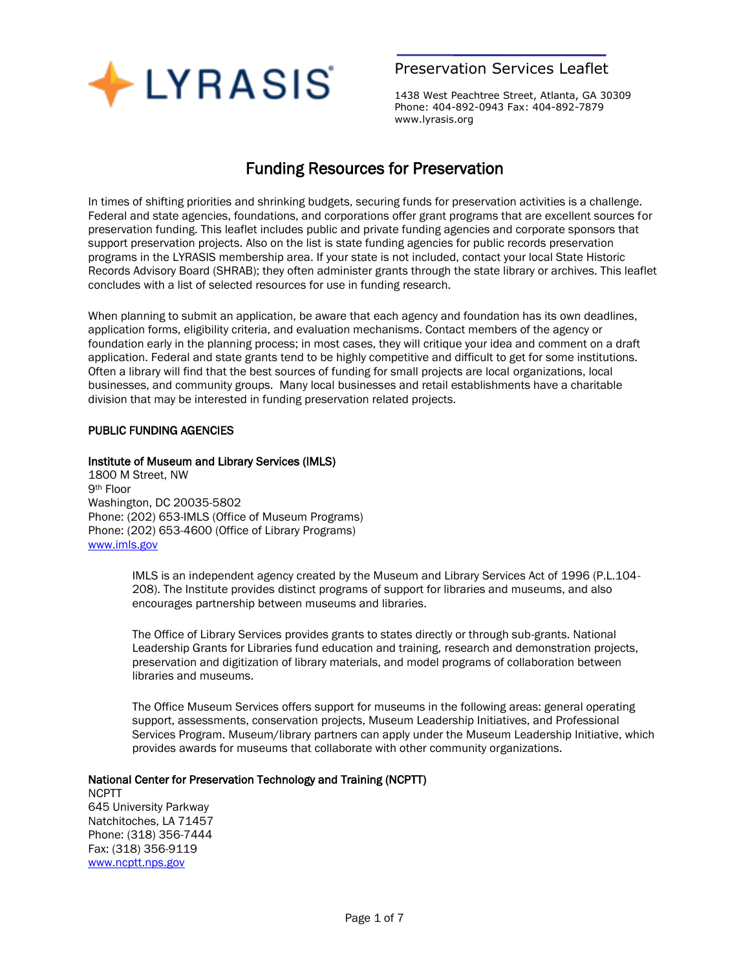

## Preservation Services Leaflet

1438 West Peachtree Street, Atlanta, GA 30309 Phone: 404-892-0943 Fax: 404-892-7879 www.lyrasis.org

# Funding Resources for Preservation

In times of shifting priorities and shrinking budgets, securing funds for preservation activities is a challenge. Federal and state agencies, foundations, and corporations offer grant programs that are excellent sources for preservation funding. This leaflet includes public and private funding agencies and corporate sponsors that support preservation projects. Also on the list is state funding agencies for public records preservation programs in the LYRASIS membership area. If your state is not included, contact your local State Historic Records Advisory Board (SHRAB); they often administer grants through the state library or archives. This leaflet concludes with a list of selected resources for use in funding research.

When planning to submit an application, be aware that each agency and foundation has its own deadlines, application forms, eligibility criteria, and evaluation mechanisms. Contact members of the agency or foundation early in the planning process; in most cases, they will critique your idea and comment on a draft application. Federal and state grants tend to be highly competitive and difficult to get for some institutions. Often a library will find that the best sources of funding for small projects are local organizations, local businesses, and community groups. Many local businesses and retail establishments have a charitable division that may be interested in funding preservation related projects.

### PUBLIC FUNDING AGENCIES

#### Institute of Museum and Library Services (IMLS)

1800 M Street, NW 9th Floor Washington, DC 20035-5802 Phone: (202) 653-IMLS (Office of Museum Programs) Phone: (202) 653-4600 (Office of Library Programs) [www.imls.gov](http://www.imls.gov/)

> IMLS is an independent agency created by the Museum and Library Services Act of 1996 (P.L.104- 208). The Institute provides distinct programs of support for libraries and museums, and also encourages partnership between museums and libraries.

> The Office of Library Services provides grants to states directly or through sub-grants. National Leadership Grants for Libraries fund education and training, research and demonstration projects, preservation and digitization of library materials, and model programs of collaboration between libraries and museums.

The Office Museum Services offers support for museums in the following areas: general operating support, assessments, conservation projects, Museum Leadership Initiatives, and Professional Services Program. Museum/library partners can apply under the Museum Leadership Initiative, which provides awards for museums that collaborate with other community organizations.

#### National Center for Preservation Technology and Training (NCPTT)

NCPTT 645 University Parkway Natchitoches, LA 71457 Phone: (318) 356-7444 Fax: (318) 356-9119 [www.ncptt.nps.gov](http://www.ncptt.nps.gov/)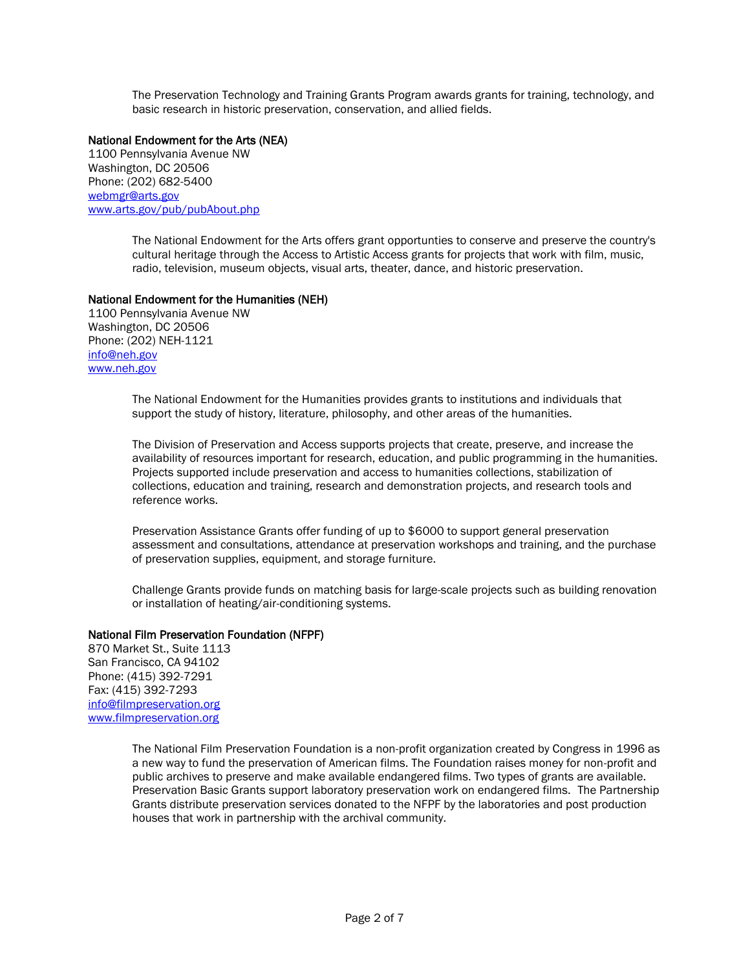The Preservation Technology and Training Grants Program awards grants for training, technology, and basic research in historic preservation, conservation, and allied fields.

#### National Endowment for the Arts (NEA)

1100 Pennsylvania Avenue NW Washington, DC 20506 Phone: (202) 682-5400 [webmgr@arts.gov](mailto:webmgr@arts.endow.gov) [www.arts.gov/pub/pubAbout.php](http://www.nea.gov/)

> The National Endowment for the Arts offers grant opportunties to conserve and preserve the country's cultural heritage through the Access to Artistic Access grants for projects that work with film, music, radio, television, museum objects, visual arts, theater, dance, and historic preservation.

#### National Endowment for the Humanities (NEH)

1100 Pennsylvania Avenue NW Washington, DC 20506 Phone: (202) NEH-1121 [info@neh.gov](mailto:info@neh.gov) [www.neh.gov](http://www.neh.gov/)

> The National Endowment for the Humanities provides grants to institutions and individuals that support the study of history, literature, philosophy, and other areas of the humanities.

The Division of Preservation and Access supports projects that create, preserve, and increase the availability of resources important for research, education, and public programming in the humanities. Projects supported include preservation and access to humanities collections, stabilization of collections, education and training, research and demonstration projects, and research tools and reference works.

Preservation Assistance Grants offer funding of up to \$6000 to support general preservation assessment and consultations, attendance at preservation workshops and training, and the purchase of preservation supplies, equipment, and storage furniture.

Challenge Grants provide funds on matching basis for large-scale projects such as building renovation or installation of heating/air-conditioning systems.

#### National Film Preservation Foundation (NFPF)

870 Market St., Suite 1113 San Francisco, CA 94102 Phone: (415) 392-7291 Fax: (415) 392-7293 [info@filmpreservation.org](mailto:info@filmpreservation.org) [www.filmpreservation.org](http://www.filmpreservation.org/)

> The National Film Preservation Foundation is a non-profit organization created by Congress in 1996 as a new way to fund the preservation of American films. The Foundation raises money for non-profit and public archives to preserve and make available endangered films. Two types of grants are available. Preservation Basic Grants support laboratory preservation work on endangered films. The Partnership Grants distribute preservation services donated to the NFPF by the laboratories and post production houses that work in partnership with the archival community.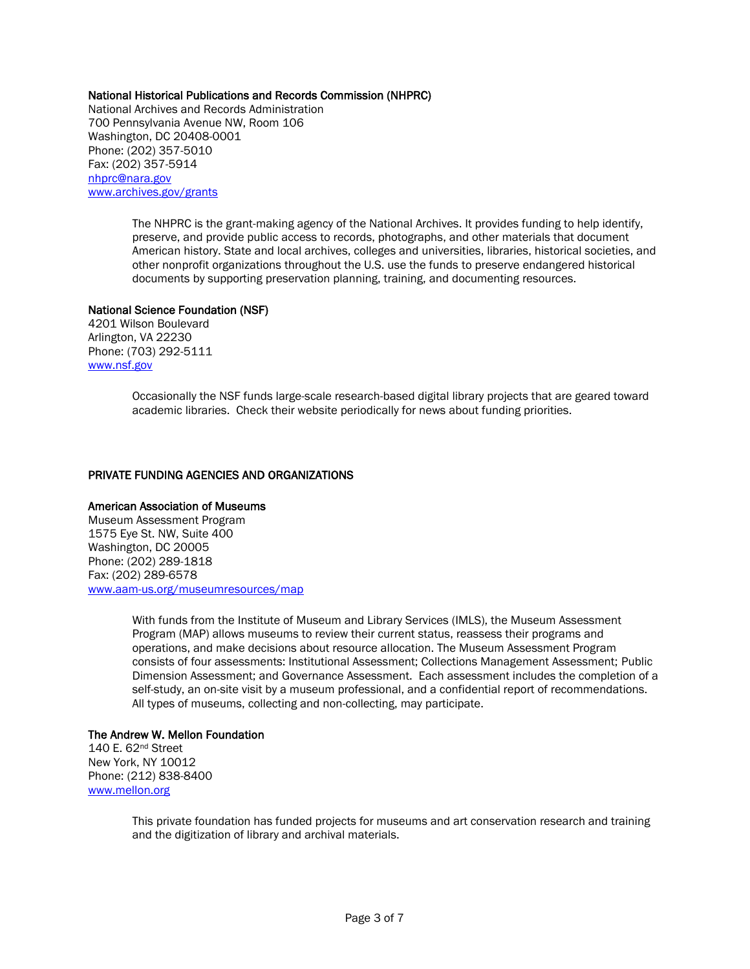#### National Historical Publications and Records Commission (NHPRC)

National Archives and Records Administration 700 Pennsylvania Avenue NW, Room 106 Washington, DC 20408-0001 Phone: (202) 357-5010 Fax: (202) 357-5914 [nhprc@nara.gov](mailto:nhprc@nara.gov) [www.archives.gov/grants](http://www.archives.gov/grants)

> The NHPRC is the grant-making agency of the National Archives. It provides funding to help identify, preserve, and provide public access to records, photographs, and other materials that document American history. State and local archives, colleges and universities, libraries, historical societies, and other nonprofit organizations throughout the U.S. use the funds to preserve endangered historical documents by supporting preservation planning, training, and documenting resources.

#### National Science Foundation (NSF)

4201 Wilson Boulevard Arlington, VA 22230 Phone: (703) 292-5111 [www.nsf.gov](http://www.nsf.gov/)

> Occasionally the NSF funds large-scale research-based digital library projects that are geared toward academic libraries. Check their website periodically for news about funding priorities.

#### PRIVATE FUNDING AGENCIES AND ORGANIZATIONS

#### American Association of Museums

Museum Assessment Program 1575 Eye St. NW, Suite 400 Washington, DC 20005 Phone: (202) 289-1818 Fax: (202) 289-6578 [www.aam-us.org/museumresources/map](http://www.aam-us.org/museumresources/map)

> With funds from the Institute of Museum and Library Services (IMLS), the Museum Assessment Program (MAP) allows museums to review their current status, reassess their programs and operations, and make decisions about resource allocation. The Museum Assessment Program consists of four assessments: Institutional Assessment; Collections Management Assessment; Public Dimension Assessment; and Governance Assessment. Each assessment includes the completion of a self-study, an on-site visit by a museum professional, and a confidential report of recommendations. All types of museums, collecting and non-collecting, may participate.

#### The Andrew W. Mellon Foundation

140 E. 62nd Street New York, NY 10012 Phone: (212) 838-8400 [www.mellon.org](http://www.mellon.org/)

> This private foundation has funded projects for museums and art conservation research and training and the digitization of library and archival materials.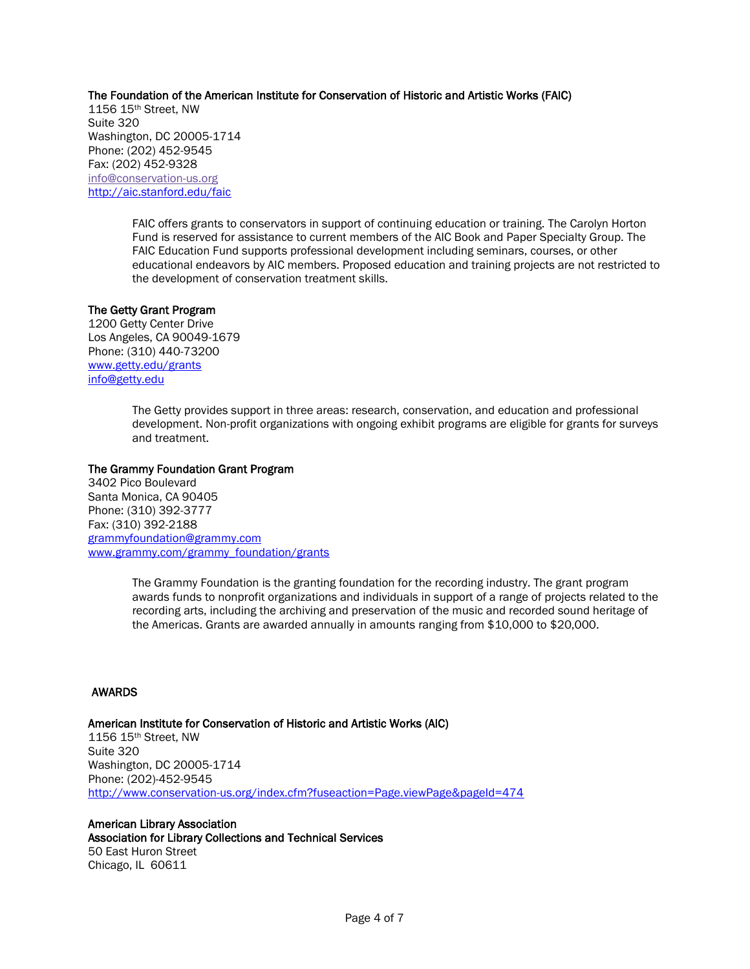#### The Foundation of the American Institute for Conservation of Historic and Artistic Works (FAIC)

1156 15th Street, NW Suite 320 Washington, DC 20005-1714 Phone: (202) 452-9545 Fax: (202) 452-9328 info@conservation-us.org [http://aic.stanford.edu/faic](http://aic.stanford.edu/faic/)

> FAIC offers grants to conservators in support of continuing education or training. The Carolyn Horton Fund is reserved for assistance to current members of the AIC Book and Paper Specialty Group. The FAIC Education Fund supports professional development including seminars, courses, or other educational endeavors by AIC members. Proposed education and training projects are not restricted to the development of conservation treatment skills.

#### The Getty Grant Program

1200 Getty Center Drive Los Angeles, CA 90049-1679 Phone: (310) 440-73200 [www.getty.edu/grants](http://www.getty.edu/grants) [info@getty.edu](mailto:info@getty.edu)

> The Getty provides support in three areas: research, conservation, and education and professional development. Non-profit organizations with ongoing exhibit programs are eligible for grants for surveys and treatment.

#### The Grammy Foundation Grant Program

3402 Pico Boulevard Santa Monica, CA 90405 Phone: (310) 392-3777 Fax: (310) 392-2188 [grammyfoundation@grammy.com](mailto:grammyfoundation@grammy.com) [www.grammy.com/grammy\\_foundation/grants](http://www.grammy.com/grammy_foundation/grants)

> The Grammy Foundation is the granting foundation for the recording industry. The grant program awards funds to nonprofit organizations and individuals in support of a range of projects related to the recording arts, including the archiving and preservation of the music and recorded sound heritage of the Americas. Grants are awarded annually in amounts ranging from \$10,000 to \$20,000.

#### AWARDS

#### American Institute for Conservation of Historic and Artistic Works (AIC) 1156 15th Street, NW Suite 320 Washington, DC 20005-1714 Phone: (202)-452-9545 <http://www.conservation-us.org/index.cfm?fuseaction=Page.viewPage&pageId=474>

American Library Association Association for Library Collections and Technical Services 50 East Huron Street Chicago, IL 60611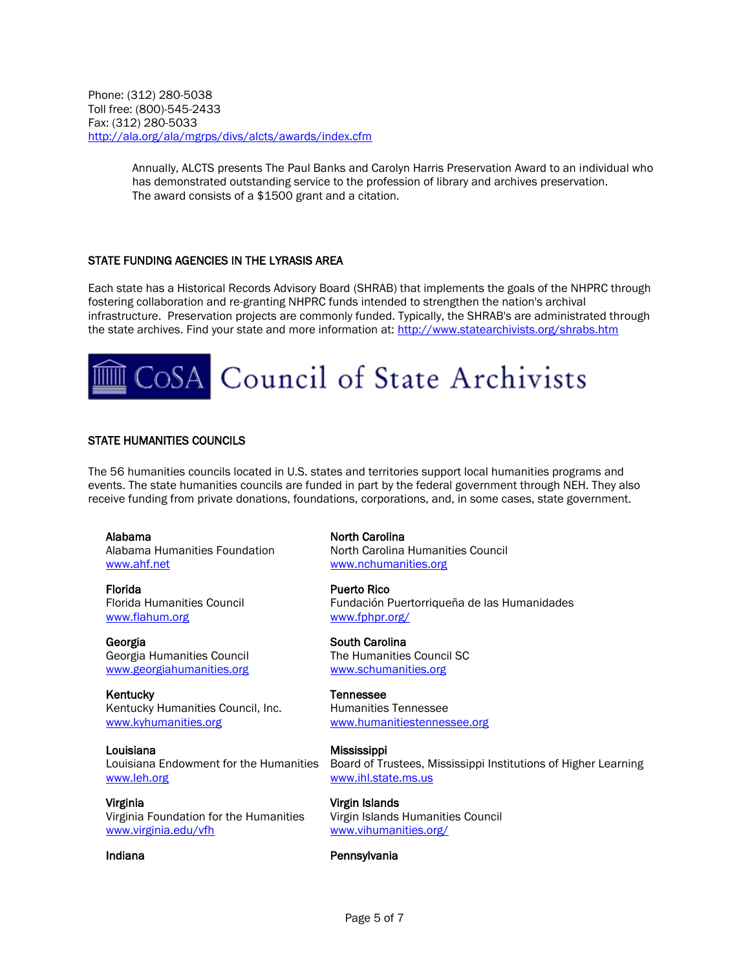Phone: (312) 280-5038 Toll free: (800)-545-2433 Fax: (312) 280-5033 <http://ala.org/ala/mgrps/divs/alcts/awards/index.cfm>

> Annually, ALCTS presents The Paul Banks and Carolyn Harris Preservation Award to an individual who has demonstrated outstanding service to the profession of library and archives preservation. The award consists of a \$1500 grant and a citation.

#### STATE FUNDING AGENCIES IN THE LYRASIS AREA

Each state has a Historical Records Advisory Board (SHRAB) that implements the goals of the NHPRC through fostering collaboration and re-granting NHPRC funds intended to strengthen the nation's archival infrastructure. Preservation projects are commonly funded. Typically, the SHRAB's are administrated through the state archives. Find your state and more information at[: http://www.statearchivists.org/shrabs.htm](http://www.statearchivists.org/shrabs.htm)

# CoSA Council of State Archivists

#### STATE HUMANITIES COUNCILS

The 56 humanities councils located in U.S. states and territories support local humanities programs and events. The state humanities councils are funded in part by the federal government through NEH. They also receive funding from private donations, foundations, corporations, and, in some cases, state government.

Alabama Alabama Humanities Foundation [www.ahf.net](http://www.ahf.net/)

Florida Florida Humanities Council [www.flahum.org](http://www.flahum.org/)

Georgia Georgia Humanities Council [www.georgiahumanities.org](http://www.georgiahumanities.org/)

**Kentucky** Kentucky Humanities Council, Inc. [www.kyhumanities.org](http://www.kyhumanities.org/)

Louisiana Louisiana Endowment for the Humanities [www.leh.org](http://www.leh.org/)

Virginia Virginia Foundation for the Humanities [www.virginia.edu/vfh](http://www.virginia.edu/vfh)

North Carolina North Carolina Humanities Council [www.nchumanities.org](http://www.nchumanities.org/)

Puerto Rico Fundación Puertorriqueña de las Humanidades [www.fphpr.org/](http://www.fphpr.org/)

South Carolina The Humanities Council SC [www.schumanities.org](http://www.schumanities.org/)

Tennessee Humanities Tennessee [www.humanitiestennessee.org](http://www.humanitiestennessee.org/)

**Mississippi** Board of Trustees, Mississippi Institutions of Higher Learning [www.ihl.state.ms.us](http://www.ihl.state.ms.us/)

Virgin Islands Virgin Islands Humanities Council [www.vihumanities.org/](http://www.vihumanities.org/)

#### Indiana **Pennsylvania**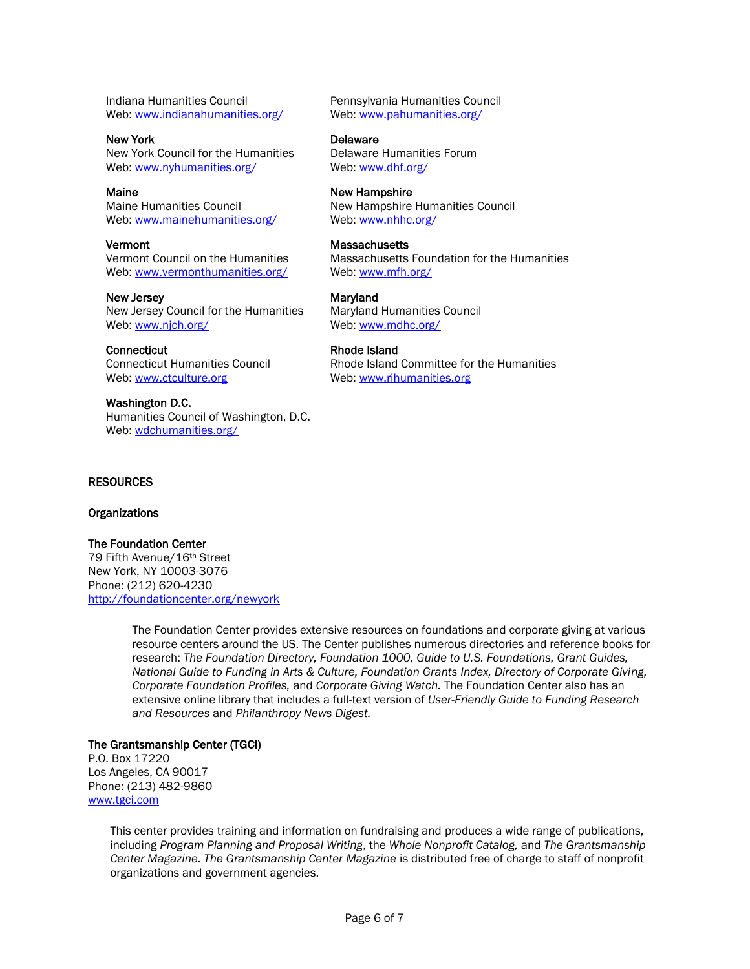Indiana Humanities Council Web: [www.indianahumanities.org/](http://www.indianahumanities.org/)

New York New York Council for the Humanities Web: [www.nyhumanities.org/](http://www.nyhumanities.org/)

Maine Maine Humanities Council Web: [www.mainehumanities.org/](http://www.mainehumanities.org/)

Vermont Vermont Council on the Humanities Web: [www.vermonthumanities.org/](http://www.vermonthumanities.org/)

New Jersey New Jersey Council for the Humanities Web: [www.njch.org/](http://www.njch.org/)

**Connecticut** Connecticut Humanities Council Web: [www.ctculture.org](http://www.ctculture.org/)

Washington D.C. Humanities Council of Washington, D.C. Web: [wdchumanities.org/](http://wdchumanities.org/)

Pennsylvania Humanities Council Web: [www.pahumanities.org/](http://www.pahumanities.org/)

**Delaware** Delaware Humanities Forum Web: [www.dhf.org/](http://www.dhf.org/)

New Hampshire New Hampshire Humanities Council Web: [www.nhhc.org/](http://www.nhhc.org/)

**Massachusetts** Massachusetts Foundation for the Humanities Web: [www.mfh.org/](http://www.mfh.org/)

Maryland Maryland Humanities Council Web: [www.mdhc.org/](http://www.mdhc.org/)

Rhode Island Rhode Island Committee for the Humanities Web: [www.rihumanities.org](http://www.rihumanities.org/)

#### **RESOURCES**

**Organizations** 

The Foundation Center 79 Fifth Avenue/16th Street New York, NY 10003-3076 Phone: (212) 620-4230 <http://foundationcenter.org/newyork>

> The Foundation Center provides extensive resources on foundations and corporate giving at various resource centers around the US. The Center publishes numerous directories and reference books for research: *The Foundation Directory, Foundation 1000, Guide to U.S. Foundations, Grant Guides, National Guide to Funding in Arts & Culture, Foundation Grants Index, Directory of Corporate Giving, Corporate Foundation Profiles,* and *Corporate Giving Watch.* The Foundation Center also has an extensive online library that includes a full-text version of *User-Friendly Guide to Funding Research and Resources* and *Philanthropy News Digest.*

#### The Grantsmanship Center (TGCI)

P.O. Box 17220 Los Angeles, CA 90017 Phone: (213) 482-9860 [www.tgci.com](http://www.tgci.com/)

> This center provides training and information on fundraising and produces a wide range of publications, including *Program Planning and Proposal Writing*, the *Whole Nonprofit Catalog,* and *The Grantsmanship Center Magazine*. *The Grantsmanship Center Magazine* is distributed free of charge to staff of nonprofit organizations and government agencies.